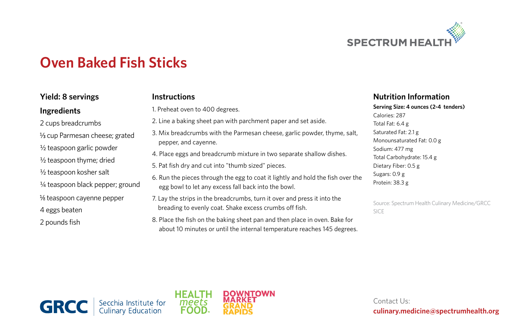

# **Oven Baked Fish Sticks**

# **Yield: 8 servings**

## **Ingredients**

2 cups breadcrumbs 1/3 cup Parmesan cheese; grated ½ teaspoon garlic powder ½ teaspoon thyme; dried ½ teaspoon kosher salt 1/4 teaspoon black pepper; ground  $\frac{1}{8}$  teaspoon cayenne pepper 4 eggs beaten 2 pounds fish

### **Instructions**

1. Preheat oven to 400 degrees.

- 2. Line a baking sheet pan with parchment paper and set aside.
- 3. Mix breadcrumbs with the Parmesan cheese, garlic powder, thyme, salt, pepper, and cayenne.
- 4. Place eggs and breadcrumb mixture in two separate shallow dishes.
- 5. Pat fish dry and cut into "thumb sized" pieces.
- 6. Run the pieces through the egg to coat it lightly and hold the fish over the egg bowl to let any excess fall back into the bowl.
- 7. Lay the strips in the breadcrumbs, turn it over and press it into the breading to evenly coat. Shake excess crumbs off fish.
- 8. Place the fish on the baking sheet pan and then place in oven. Bake for about 10 minutes or until the internal temperature reaches 145 degrees.

#### **Nutrition Information**

#### **Serving Size: 4 ounces (2-4 tenders)** Calories: 287

Total Fat: 6.4 g Saturated Fat: 2.1 g Monounsaturated Fat: 0.0 g Sodium: 477 mg Total Carbohydrate: 15.4 g Dietary Fiber: 0.5 g Sugars: 0.9 g Protein: 38.3 g

Source: Spectrum Health Culinary Medicine/GRCC SICE





Contact Us: **culinary.medicine@spectrumhealth.org**